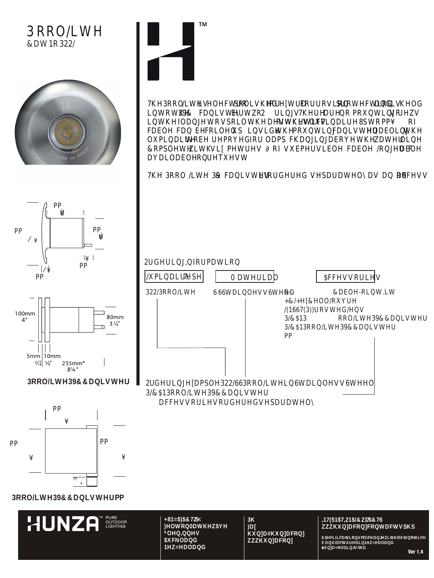